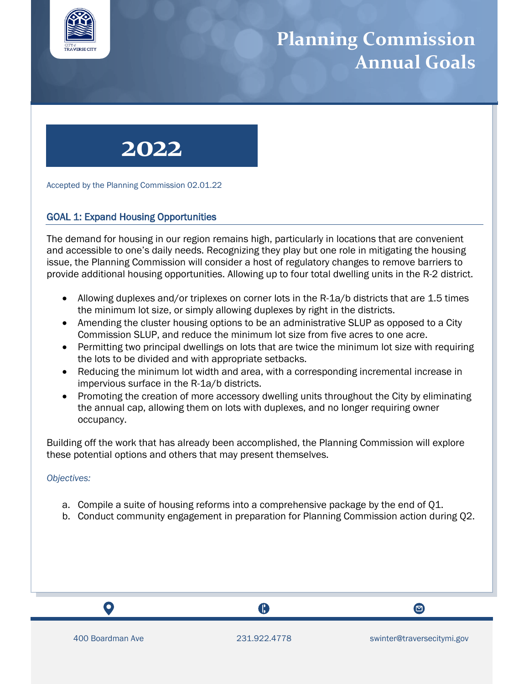

## **Planning Commission Annual Goals**



Accepted by the Planning Commission 02.01.22

## GOAL 1: Expand Housing Opportunities

The demand for housing in our region remains high, particularly in locations that are convenient and accessible to one's daily needs. Recognizing they play but one role in mitigating the housing issue, the Planning Commission will consider a host of regulatory changes to remove barriers to provide additional housing opportunities. Allowing up to four total dwelling units in the R-2 district.

- Allowing duplexes and/or triplexes on corner lots in the R-1a/b districts that are 1.5 times the minimum lot size, or simply allowing duplexes by right in the districts.
- Amending the cluster housing options to be an administrative SLUP as opposed to a City Commission SLUP, and reduce the minimum lot size from five acres to one acre.
- Permitting two principal dwellings on lots that are twice the minimum lot size with requiring the lots to be divided and with appropriate setbacks.
- Reducing the minimum lot width and area, with a corresponding incremental increase in impervious surface in the R-1a/b districts.
- Promoting the creation of more accessory dwelling units throughout the City by eliminating the annual cap, allowing them on lots with duplexes, and no longer requiring owner occupancy.

Building off the work that has already been accomplished, the Planning Commission will explore these potential options and others that may present themselves.

#### *Objectives:*

- a. Compile a suite of housing reforms into a comprehensive package by the end of Q1.
- b. Conduct community engagement in preparation for Planning Commission action during Q2.

 $\mathbf O$ 

A

 $\bullet$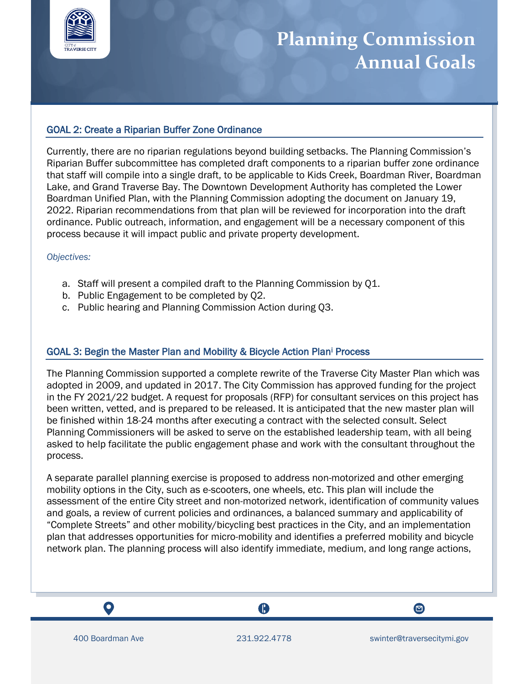

# **Planning Commission Annual Goals**

### GOAL 2: Create a Riparian Buffer Zone Ordinance

Currently, there are no riparian regulations beyond building setbacks. The Planning Commission's Riparian Buffer subcommittee has completed draft components to a riparian buffer zone ordinance that staff will compile into a single draft, to be applicable to Kids Creek, Boardman River, Boardman Lake, and Grand Traverse Bay. The Downtown Development Authority has completed the Lower Boardman Unified Plan, with the Planning Commission adopting the document on January 19, 2022. Riparian recommendations from that plan will be reviewed for incorporation into the draft ordinance. Public outreach, information, and engagement will be a necessary component of this process because it will impact public and private property development.

#### *Objectives:*

- a. Staff will present a compiled draft to the Planning Commission by Q1.
- b. Public Engagement to be completed by Q2.
- c. Public hearing and Planning Commission Action during Q3.

### GOAL 3: Begin the Master Plan and Mobility & Bicycle Action Plan<sup>i</sup> Process

The Planning Commission supported a complete rewrite of the Traverse City Master Plan which was adopted in 2009, and updated in 2017. The City Commission has approved funding for the project in the FY 2021/22 budget. A request for proposals (RFP) for consultant services on this project has been written, vetted, and is prepared to be released. It is anticipated that the new master plan will be finished within 18-24 months after executing a contract with the selected consult. Select Planning Commissioners will be asked to serve on the established leadership team, with all being asked to help facilitate the public engagement phase and work with the consultant throughout the process.

A separate parallel planning exercise is proposed to address non-motorized and other emerging mobility options in the City, such as e-scooters, one wheels, etc. This plan will include the assessment of the entire City street and non-motorized network, identification of community values and goals, a review of current policies and ordinances, a balanced summary and applicability of "Complete Streets" and other mobility/bicycling best practices in the City, and an implementation plan that addresses opportunities for micro-mobility and identifies a preferred mobility and bicycle network plan. The planning process will also identify immediate, medium, and long range actions,

 $\mathbf Q$ 

A



 $\bullet$